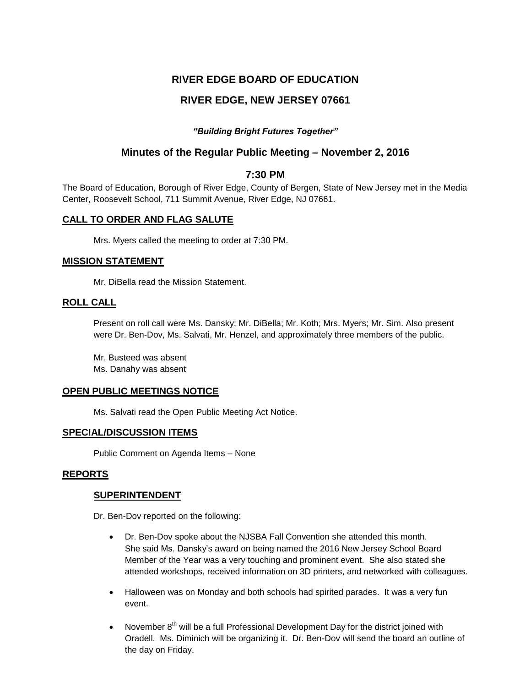# **RIVER EDGE BOARD OF EDUCATION**

# **RIVER EDGE, NEW JERSEY 07661**

## *"Building Bright Futures Together"*

# **Minutes of the Regular Public Meeting – November 2, 2016**

## **7:30 PM**

The Board of Education, Borough of River Edge, County of Bergen, State of New Jersey met in the Media Center, Roosevelt School, 711 Summit Avenue, River Edge, NJ 07661.

## **CALL TO ORDER AND FLAG SALUTE**

Mrs. Myers called the meeting to order at 7:30 PM.

## **MISSION STATEMENT**

Mr. DiBella read the Mission Statement.

## **ROLL CALL**

Present on roll call were Ms. Dansky; Mr. DiBella; Mr. Koth; Mrs. Myers; Mr. Sim. Also present were Dr. Ben-Dov, Ms. Salvati, Mr. Henzel, and approximately three members of the public.

Mr. Busteed was absent Ms. Danahy was absent

## **OPEN PUBLIC MEETINGS NOTICE**

Ms. Salvati read the Open Public Meeting Act Notice.

## **SPECIAL/DISCUSSION ITEMS**

Public Comment on Agenda Items – None

## **REPORTS**

## **SUPERINTENDENT**

Dr. Ben-Dov reported on the following:

- Dr. Ben-Dov spoke about the NJSBA Fall Convention she attended this month. She said Ms. Dansky's award on being named the 2016 New Jersey School Board Member of the Year was a very touching and prominent event. She also stated she attended workshops, received information on 3D printers, and networked with colleagues.
- Halloween was on Monday and both schools had spirited parades. It was a very fun event.
- November  $8<sup>th</sup>$  will be a full Professional Development Day for the district joined with Oradell. Ms. Diminich will be organizing it. Dr. Ben-Dov will send the board an outline of the day on Friday.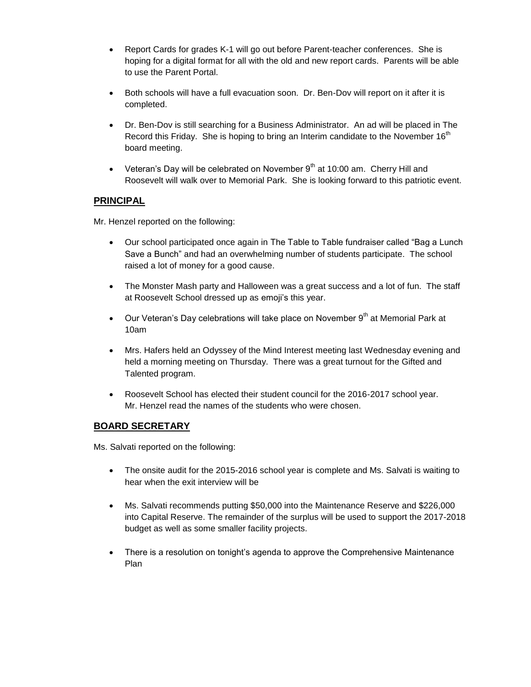- Report Cards for grades K-1 will go out before Parent-teacher conferences. She is hoping for a digital format for all with the old and new report cards. Parents will be able to use the Parent Portal.
- Both schools will have a full evacuation soon. Dr. Ben-Dov will report on it after it is completed.
- Dr. Ben-Dov is still searching for a Business Administrator. An ad will be placed in The Record this Friday. She is hoping to bring an Interim candidate to the November  $16<sup>th</sup>$ board meeting.
- Veteran's Day will be celebrated on November  $9<sup>th</sup>$  at 10:00 am. Cherry Hill and Roosevelt will walk over to Memorial Park. She is looking forward to this patriotic event.

## **PRINCIPAL**

Mr. Henzel reported on the following:

- Our school participated once again in The Table to Table fundraiser called "Bag a Lunch Save a Bunch" and had an overwhelming number of students participate. The school raised a lot of money for a good cause.
- The Monster Mash party and Halloween was a great success and a lot of fun. The staff at Roosevelt School dressed up as emoji's this year.
- $\bullet$  Our Veteran's Day celebrations will take place on November 9<sup>th</sup> at Memorial Park at 10am
- Mrs. Hafers held an Odyssey of the Mind Interest meeting last Wednesday evening and held a morning meeting on Thursday. There was a great turnout for the Gifted and Talented program.
- Roosevelt School has elected their student council for the 2016-2017 school year. Mr. Henzel read the names of the students who were chosen.

## **BOARD SECRETARY**

Ms. Salvati reported on the following:

- The onsite audit for the 2015-2016 school year is complete and Ms. Salvati is waiting to hear when the exit interview will be
- Ms. Salvati recommends putting \$50,000 into the Maintenance Reserve and \$226,000 into Capital Reserve. The remainder of the surplus will be used to support the 2017-2018 budget as well as some smaller facility projects.
- There is a resolution on tonight's agenda to approve the Comprehensive Maintenance Plan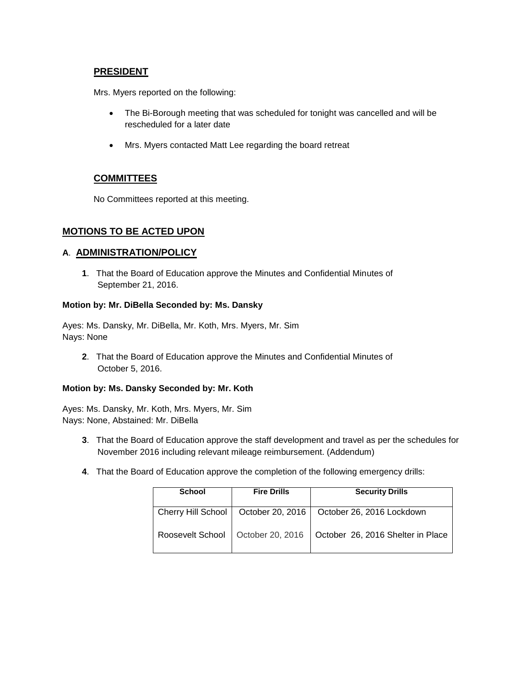## **PRESIDENT**

Mrs. Myers reported on the following:

- The Bi-Borough meeting that was scheduled for tonight was cancelled and will be rescheduled for a later date
- Mrs. Myers contacted Matt Lee regarding the board retreat

## **COMMITTEES**

No Committees reported at this meeting.

## **MOTIONS TO BE ACTED UPON**

## **A**. **ADMINISTRATION/POLICY**

**1**. That the Board of Education approve the Minutes and Confidential Minutes of September 21, 2016.

### **Motion by: Mr. DiBella Seconded by: Ms. Dansky**

Ayes: Ms. Dansky, Mr. DiBella, Mr. Koth, Mrs. Myers, Mr. Sim Nays: None

**2**. That the Board of Education approve the Minutes and Confidential Minutes of October 5, 2016.

#### **Motion by: Ms. Dansky Seconded by: Mr. Koth**

Ayes: Ms. Dansky, Mr. Koth, Mrs. Myers, Mr. Sim Nays: None, Abstained: Mr. DiBella

- **3**. That the Board of Education approve the staff development and travel as per the schedules for November 2016 including relevant mileage reimbursement. (Addendum)
- **4**. That the Board of Education approve the completion of the following emergency drills:

| <b>School</b>      | <b>Fire Drills</b> | <b>Security Drills</b>            |
|--------------------|--------------------|-----------------------------------|
| Cherry Hill School | October 20, 2016   | October 26, 2016 Lockdown         |
| Roosevelt School   | October 20, 2016   | October 26, 2016 Shelter in Place |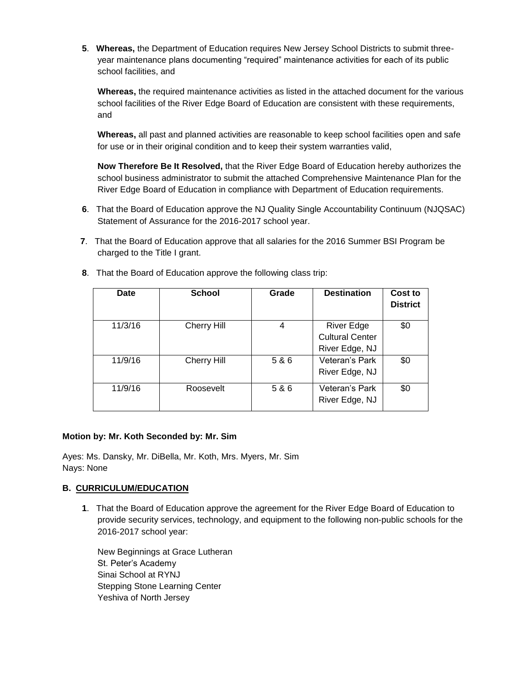**5**. **Whereas,** the Department of Education requires New Jersey School Districts to submit threeyear maintenance plans documenting "required" maintenance activities for each of its public school facilities, and

**Whereas,** the required maintenance activities as listed in the attached document for the various school facilities of the River Edge Board of Education are consistent with these requirements, and

**Whereas,** all past and planned activities are reasonable to keep school facilities open and safe for use or in their original condition and to keep their system warranties valid,

**Now Therefore Be It Resolved,** that the River Edge Board of Education hereby authorizes the school business administrator to submit the attached Comprehensive Maintenance Plan for the River Edge Board of Education in compliance with Department of Education requirements.

- **6**. That the Board of Education approve the NJ Quality Single Accountability Continuum (NJQSAC) Statement of Assurance for the 2016-2017 school year.
- **7**. That the Board of Education approve that all salaries for the 2016 Summer BSI Program be charged to the Title I grant.

| Date    | <b>School</b>      | Grade | <b>Destination</b>                                            | Cost to<br><b>District</b> |
|---------|--------------------|-------|---------------------------------------------------------------|----------------------------|
| 11/3/16 | <b>Cherry Hill</b> | 4     | <b>River Edge</b><br><b>Cultural Center</b><br>River Edge, NJ | \$0                        |
| 11/9/16 | <b>Cherry Hill</b> | 5 & 6 | Veteran's Park<br>River Edge, NJ                              | \$0                        |
| 11/9/16 | Roosevelt          | 5 & 6 | Veteran's Park<br>River Edge, NJ                              | \$0                        |

**8**. That the Board of Education approve the following class trip:

#### **Motion by: Mr. Koth Seconded by: Mr. Sim**

Ayes: Ms. Dansky, Mr. DiBella, Mr. Koth, Mrs. Myers, Mr. Sim Nays: None

## **B. CURRICULUM/EDUCATION**

**1**. That the Board of Education approve the agreement for the River Edge Board of Education to provide security services, technology, and equipment to the following non-public schools for the 2016-2017 school year:

New Beginnings at Grace Lutheran St. Peter's Academy Sinai School at RYNJ Stepping Stone Learning Center Yeshiva of North Jersey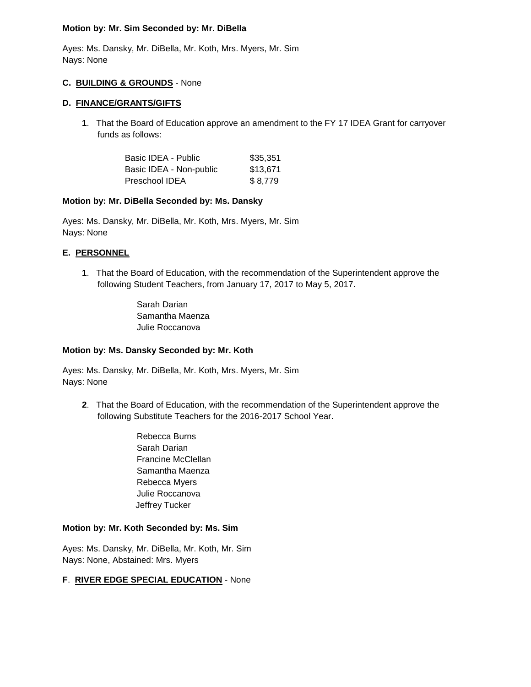#### **Motion by: Mr. Sim Seconded by: Mr. DiBella**

Ayes: Ms. Dansky, Mr. DiBella, Mr. Koth, Mrs. Myers, Mr. Sim Nays: None

#### **C. BUILDING & GROUNDS** - None

#### **D. FINANCE/GRANTS/GIFTS**

**1**. That the Board of Education approve an amendment to the FY 17 IDEA Grant for carryover funds as follows:

| Basic IDEA - Public     | \$35.351 |
|-------------------------|----------|
| Basic IDEA - Non-public | \$13,671 |
| Preschool IDEA          | \$8,779  |

### **Motion by: Mr. DiBella Seconded by: Ms. Dansky**

Ayes: Ms. Dansky, Mr. DiBella, Mr. Koth, Mrs. Myers, Mr. Sim Nays: None

## **E. PERSONNEL**

**1**. That the Board of Education, with the recommendation of the Superintendent approve the following Student Teachers, from January 17, 2017 to May 5, 2017.

> Sarah Darian Samantha Maenza Julie Roccanova

## **Motion by: Ms. Dansky Seconded by: Mr. Koth**

Ayes: Ms. Dansky, Mr. DiBella, Mr. Koth, Mrs. Myers, Mr. Sim Nays: None

- **2**. That the Board of Education, with the recommendation of the Superintendent approve the following Substitute Teachers for the 2016-2017 School Year.
	- Rebecca Burns Sarah Darian Francine McClellan Samantha Maenza Rebecca Myers Julie Roccanova Jeffrey Tucker

#### **Motion by: Mr. Koth Seconded by: Ms. Sim**

Ayes: Ms. Dansky, Mr. DiBella, Mr. Koth, Mr. Sim Nays: None, Abstained: Mrs. Myers

## **F**. **RIVER EDGE SPECIAL EDUCATION** - None